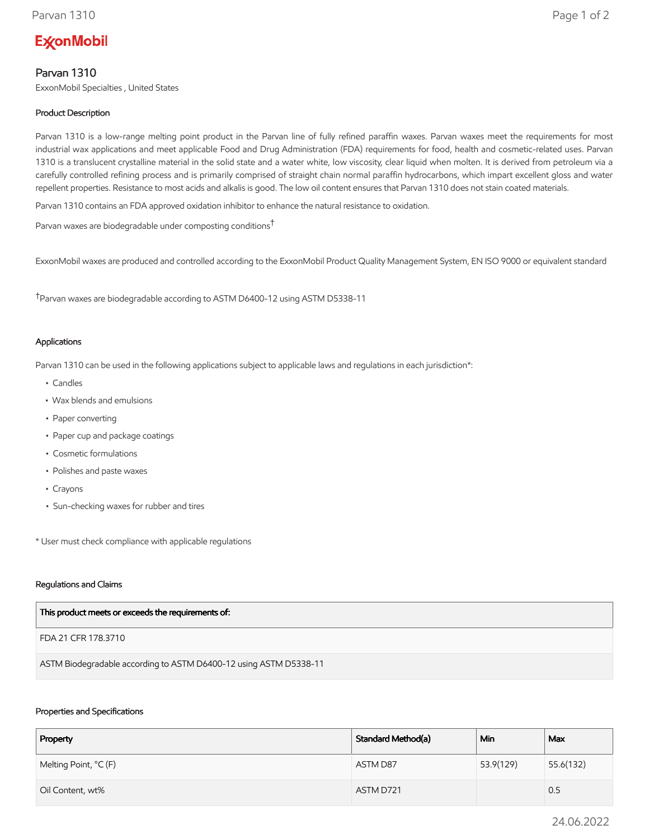# **ExconMobil**

# Parvan 1310

ExxonMobil Specialties , United States

## Product Description

Parvan 1310 is a low-range melting point product in the Parvan line of fully refined paraffin waxes. Parvan waxes meet the requirements for most industrial wax applications and meet applicable Food and Drug Administration (FDA) requirements for food, health and cosmetic-related uses. Parvan 1310 is a translucent crystalline material in the solid state and a water white, low viscosity, clear liquid when molten. It is derived from petroleum via a carefully controlled refining process and is primarily comprised of straight chain normal paraffin hydrocarbons, which impart excellent gloss and water repellent properties. Resistance to most acids and alkalis is good. The low oil content ensures that Parvan 1310 does not stain coated materials.

Parvan 1310 contains an FDA approved oxidation inhibitor to enhance the natural resistance to oxidation.

Parvan waxes are biodegradable under composting conditions†

ExxonMobil waxes are produced and controlled according to the ExxonMobil Product Quality Management System, EN ISO 9000 or equivalent standard

†Parvan waxes are biodegradable according to ASTM D6400-12 using ASTM D5338-11

#### Applications

Parvan 1310 can be used in the following applications subject to applicable laws and regulations in each jurisdiction\*:

- Candles
- Wax blends and emulsions
- Paper converting
- Paper cup and package coatings
- Cosmetic formulations
- Polishes and paste waxes
- Crayons
- Sun-checking waxes for rubber and tires

\* User must check compliance with applicable regulations

#### Regulations and Claims

FDA 21 CFR 178.3710

ASTM Biodegradable according to ASTM D6400-12 using ASTM D5338-11

#### Properties and Specifications

| Property              | Standard Method(a) | Min       | Max       |
|-----------------------|--------------------|-----------|-----------|
| Melting Point, °C (F) | ASTM D87           | 53.9(129) | 55.6(132) |
| Oil Content, wt%      | ASTM D721          |           | 0.5       |